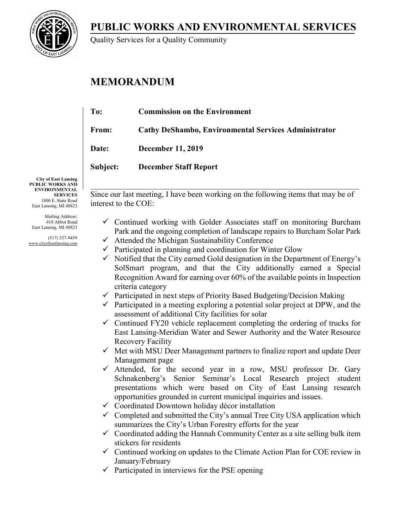**PUBLIC WORKS AND ENVIRONMENTAL SERVICES**



Quality Services for a Quality Community

# **MEMORANDUM**

| To:          | <b>Commission on the Environment</b>                        |
|--------------|-------------------------------------------------------------|
| From:        | <b>Cathy DeShambo, Environmental Services Administrator</b> |
| <b>Date:</b> | <b>December 11, 2019</b>                                    |
| Subject:     | <b>December Staff Report</b>                                |
|              |                                                             |

**City of East Lansing PUBLIC WORKS AND ENVIRONMENTAL SERVICES** 1800 E. State Road East Lansing, MI 48823

Mailing Address: 410 Abbot Road East Lansing, MI 48823

(517) 337-9459 www.cityofeastlansing.com Since our last meeting, I have been working on the following items that may be of interest to the COE:

- $\checkmark$  Continued working with Golder Associates staff on monitoring Burcham Park and the ongoing completion of landscape repairs to Burcham Solar Park
- $\checkmark$  Attended the Michigan Sustainability Conference
- $\checkmark$  Participated in planning and coordination for Winter Glow
- $\checkmark$  Notified that the City earned Gold designation in the Department of Energy's SolSmart program, and that the City additionally earned a Special Recognition Award for earning over 60% of the available points in Inspection criteria category
- $\checkmark$  Participated in next steps of Priority Based Budgeting/Decision Making
- $\checkmark$  Participated in a meeting exploring a potential solar project at DPW, and the assessment of additional City facilities for solar
- $\checkmark$  Continued FY20 vehicle replacement completing the ordering of trucks for East Lansing-Meridian Water and Sewer Authority and the Water Resource Recovery Facility
- $\checkmark$  Met with MSU Deer Management partners to finalize report and update Deer Management page
- Attended, for the second year in a row, MSU professor Dr. Gary Schnakenberg's Senior Seminar's Local Research project student presentations which were based on City of East Lansing research opportunities grounded in current municipal inquiries and issues.
- Coordinated Downtown holiday décor installation
- $\checkmark$  Completed and submitted the City's annual Tree City USA application which summarizes the City's Urban Forestry efforts for the year
- $\checkmark$  Coordinated adding the Hannah Community Center as a site selling bulk item stickers for residents
- $\checkmark$  Continued working on updates to the Climate Action Plan for COE review in January/February
- $\checkmark$  Participated in interviews for the PSE opening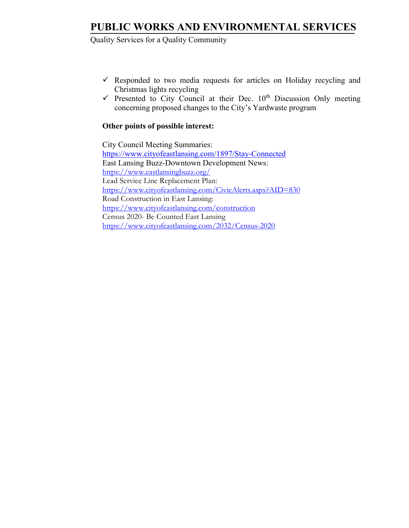# **PUBLIC WORKS AND ENVIRONMENTAL SERVICES**

## Quality Services for a Quality Community

- $\checkmark$  Responded to two media requests for articles on Holiday recycling and Christmas lights recycling
- $\checkmark$  Presented to City Council at their Dec. 10<sup>th</sup> Discussion Only meeting concerning proposed changes to the City's Yardwaste program

## **Other points of possible interest:**

 City Council Meeting Summaries: <https://www.cityofeastlansing.com/1897/Stay-Connected> East Lansing Buzz-Downtown Development News: <https://www.eastlansingbuzz.org/> Lead Service Line Replacement Plan: <https://www.cityofeastlansing.com/CivicAlerts.aspx?AID=830> Road Construction in East Lansing: <https://www.cityofeastlansing.com/construction> Census 2020- Be Counted East Lansing <https://www.cityofeastlansing.com/2032/Census-2020>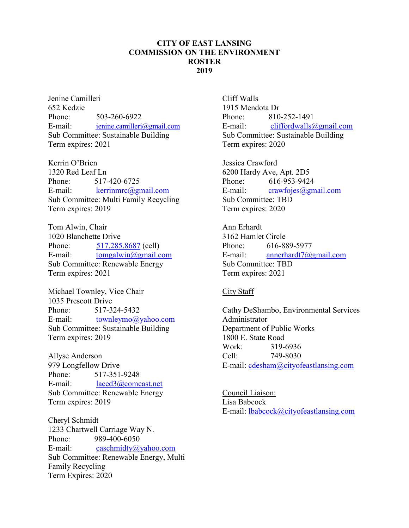## **CITY OF EAST LANSING COMMISSION ON THE ENVIRONMENT ROSTER 2019**

Jenine Camilleri 652 Kedzie Phone: 503-260-6922 E-mail: [jenine.camilleri@gmail.com](mailto:jenine.camilleri@gmail.com) Sub Committee: Sustainable Building Term expires: 2021

Kerrin O'Brien 1320 Red Leaf Ln Phone: 517-420-6725 E-mail: [kerrinmrc@gmail.com](mailto:kerrinmrc@gmail.com) Sub Committee: Multi Family Recycling Term expires: 2019

Tom Alwin, Chair 1020 Blanchette Drive Phone: [517.285.8687](tel:5172858687) (cell) E-mail: [tomgalwin@gmail.com](mailto:tomgalwin@gmail.com) Sub Committee: Renewable Energy Term expires: 2021

Michael Townley, Vice Chair 1035 Prescott Drive Phone: 517-324-5432 E-mail: [townleymo@yahoo.com](mailto:townleymo@yahoo.com) Sub Committee: Sustainable Building Term expires: 2019

Allyse Anderson 979 Longfellow Drive Phone: 517-351-9248 E-mail: [laced3@comcast.net](mailto:laced3@comcast.net) Sub Committee: Renewable Energy Term expires: 2019

Cheryl Schmidt 1233 Chartwell Carriage Way N. Phone: 989-400-6050 E-mail: [caschmidty@yahoo.com](mailto:caschmidty@yahoo.com) Sub Committee: Renewable Energy, Multi Family Recycling Term Expires: 2020

Cliff Walls 1915 Mendota Dr Phone: 810-252-1491 E-mail: [cliffordwalls@gmail.com](mailto:cliffordwalls@gmail.com) Sub Committee: Sustainable Building Term expires: 2020

Jessica Crawford 6200 Hardy Ave, Apt. 2D5 Phone: 616-953-9424 E-mail:  $crawfojes(\omega)gmail.com$ Sub Committee: TBD Term expires: 2020

Ann Erhardt 3162 Hamlet Circle Phone: 616-889-5977 E-mail: [annerhardt7@gmail.com](mailto:annerhardt7@gmail.com) Sub Committee: TBD Term expires: 2021

### City Staff

Cathy DeShambo, Environmental Services Administrator Department of Public Works 1800 E. State Road Work: 319-6936 Cell: 749-8030 E-mail: [cdesham@cityofeastlansing.com](mailto:cdesham@cityofeastlansing.com)

Council Liaison: Lisa Babcock E-mail: [lbabcock@cityofeastlansing.com](mailto:lbabcock@cityofeastlansing.com)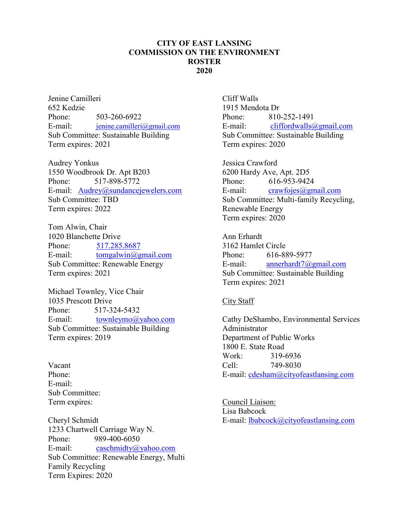## **CITY OF EAST LANSING COMMISSION ON THE ENVIRONMENT ROSTER 2020**

Jenine Camilleri 652 Kedzie Phone: 503-260-6922 E-mail: [jenine.camilleri@gmail.com](mailto:jenine.camilleri@gmail.com) Sub Committee: Sustainable Building Term expires: 2021

Audrey Yonkus 1550 Woodbrook Dr. Apt B203 Phone: 517-898-5772 E-mail: [Audrey@sundancejewelers.com](mailto:Audrey@sundancejewelers.com) Sub Committee: TBD Term expires: 2022

Tom Alwin, Chair 1020 Blanchette Drive Phone: [517.285.8687](tel:5172858687) E-mail: [tomgalwin@gmail.com](mailto:tomgalwin@gmail.com) Sub Committee: Renewable Energy Term expires: 2021

Michael Townley, Vice Chair 1035 Prescott Drive Phone: 517-324-5432 E-mail: [townleymo@yahoo.com](mailto:townleymo@yahoo.com) Sub Committee: Sustainable Building Term expires: 2019

Vacant Phone: E-mail: Sub Committee: Term expires:

Cheryl Schmidt 1233 Chartwell Carriage Way N. Phone: 989-400-6050 E-mail: [caschmidty@yahoo.com](mailto:caschmidty@yahoo.com) Sub Committee: Renewable Energy, Multi Family Recycling Term Expires: 2020

Cliff Walls 1915 Mendota Dr Phone: 810-252-1491 E-mail: [cliffordwalls@gmail.com](mailto:cliffordwalls@gmail.com) Sub Committee: Sustainable Building Term expires: 2020

Jessica Crawford 6200 Hardy Ave, Apt. 2D5 Phone: 616-953-9424 E-mail: [crawfojes@gmail.com](mailto:crawfojes@gmail.com) Sub Committee: Multi-family Recycling, Renewable Energy Term expires: 2020

Ann Erhardt 3162 Hamlet Circle Phone: 616-889-5977 E-mail: [annerhardt7@gmail.com](mailto:annerhardt7@gmail.com) Sub Committee: Sustainable Building Term expires: 2021

### City Staff

Cathy DeShambo, Environmental Services Administrator Department of Public Works 1800 E. State Road Work: 319-6936 Cell: 749-8030 E-mail: [cdesham@cityofeastlansing.com](mailto:cdesham@cityofeastlansing.com)

Council Liaison: Lisa Babcock E-mail: [lbabcock@cityofeastlansing.com](mailto:lbabcock@cityofeastlansing.com)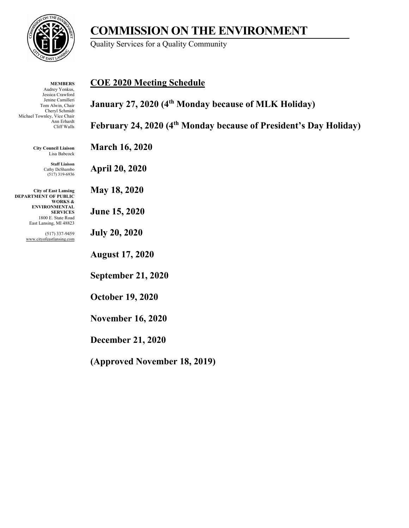

### **MEMBERS** Audrey Yonkus, Jessica Crawford Jenine Camilleri Tom Alwin, Chair Cheryl Schmidt Michael Townley, Vice Chair Ann Erhardt Cliff Walls

**City Council Liaison** Lisa Babcock

> **Staff Liaison** Cathy DeShambo (517) 319-6936

**City of East Lansing DEPARTMENT OF PUBLIC WORKS & ENVIRONMENTAL SERVICES** 1800 E. State Road East Lansing, MI 48823

> (517) 337-9459 www.cityofeastlansing.com

**COE 2020 Meeting Schedule**

Quality Services for a Quality Community

**January 27, 2020 (4th Monday because of MLK Holiday)** 

**COMMISSION ON THE ENVIRONMENT**

**February 24, 2020 (4th Monday because of President's Day Holiday)**

**March 16, 2020**

**April 20, 2020**

**May 18, 2020**

**June 15, 2020**

**July 20, 2020**

**August 17, 2020**

**September 21, 2020**

**October 19, 2020**

**November 16, 2020**

**December 21, 2020**

**(Approved November 18, 2019)**